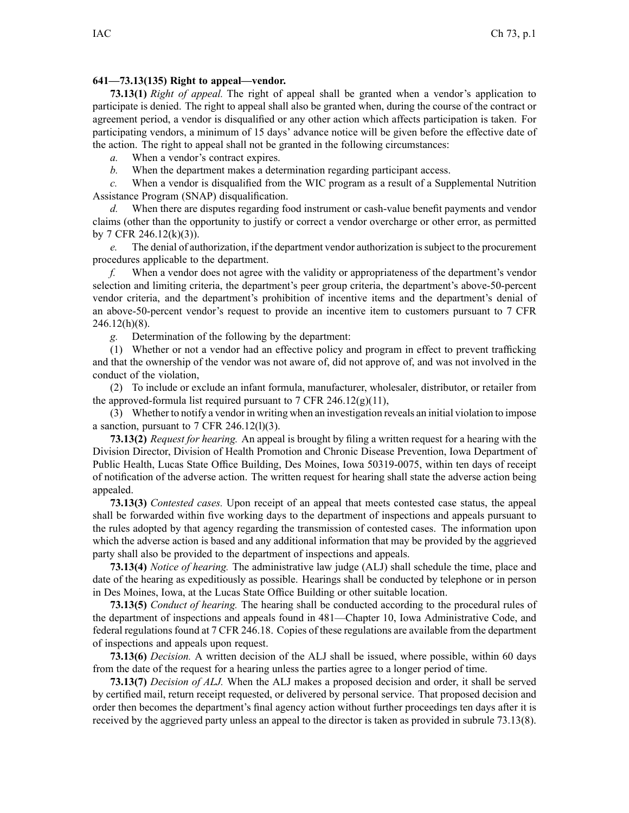## **641—73.13(135) Right to appeal—vendor.**

**73.13(1)** *Right of appeal.* The right of appeal shall be granted when <sup>a</sup> vendor's application to participate is denied. The right to appeal shall also be granted when, during the course of the contract or agreemen<sup>t</sup> period, <sup>a</sup> vendor is disqualified or any other action which affects participation is taken. For participating vendors, <sup>a</sup> minimum of 15 days' advance notice will be given before the effective date of the action. The right to appeal shall not be granted in the following circumstances:

*a.* When <sup>a</sup> vendor's contract expires.

*b.* When the department makes <sup>a</sup> determination regarding participant access.

*c.* When <sup>a</sup> vendor is disqualified from the WIC program as <sup>a</sup> result of <sup>a</sup> Supplemental Nutrition Assistance Program (SNAP) disqualification.

*d.* When there are disputes regarding food instrument or cash-value benefit payments and vendor claims (other than the opportunity to justify or correct <sup>a</sup> vendor overcharge or other error, as permitted by 7 CFR 246.12(k)(3)).

*e.* The denial of authorization, if the department vendor authorization issubject to the procuremen<sup>t</sup> procedures applicable to the department.

*f.* When <sup>a</sup> vendor does not agree with the validity or appropriateness of the department's vendor selection and limiting criteria, the department's peer group criteria, the department's above-50-percent vendor criteria, and the department's prohibition of incentive items and the department's denial of an above-50-percent vendor's reques<sup>t</sup> to provide an incentive item to customers pursuan<sup>t</sup> to 7 CFR 246.12(h)(8).

*g.* Determination of the following by the department:

(1) Whether or not <sup>a</sup> vendor had an effective policy and program in effect to preven<sup>t</sup> trafficking and that the ownership of the vendor was not aware of, did not approve of, and was not involved in the conduct of the violation,

(2) To include or exclude an infant formula, manufacturer, wholesaler, distributor, or retailer from the approved-formula list required pursuant to 7 CFR 246.12(g)(11),

(3) Whether to notify <sup>a</sup> vendor in writing when an investigation reveals an initial violation to impose a sanction, pursuant to  $7$  CFR 246.12(1)(3).

**73.13(2)** *Request for hearing.* An appeal is brought by filing <sup>a</sup> written reques<sup>t</sup> for <sup>a</sup> hearing with the Division Director, Division of Health Promotion and Chronic Disease Prevention, Iowa Department of Public Health, Lucas State Office Building, Des Moines, Iowa 50319-0075, within ten days of receipt of notification of the adverse action. The written reques<sup>t</sup> for hearing shall state the adverse action being appealed.

**73.13(3)** *Contested cases.* Upon receipt of an appeal that meets contested case status, the appeal shall be forwarded within five working days to the department of inspections and appeals pursuan<sup>t</sup> to the rules adopted by that agency regarding the transmission of contested cases. The information upon which the adverse action is based and any additional information that may be provided by the aggrieved party shall also be provided to the department of inspections and appeals.

**73.13(4)** *Notice of hearing.* The administrative law judge (ALJ) shall schedule the time, place and date of the hearing as expeditiously as possible. Hearings shall be conducted by telephone or in person in Des Moines, Iowa, at the Lucas State Office Building or other suitable location.

**73.13(5)** *Conduct of hearing.* The hearing shall be conducted according to the procedural rules of the department of inspections and appeals found in [481—Chapter](https://www.legis.iowa.gov/docs/iac/chapter/481.10.pdf) 10, Iowa Administrative Code, and federal regulations found at 7 CFR 246.18. Copies of these regulations are available from the department of inspections and appeals upon request.

**73.13(6)** *Decision.* A written decision of the ALJ shall be issued, where possible, within 60 days from the date of the reques<sup>t</sup> for <sup>a</sup> hearing unless the parties agree to <sup>a</sup> longer period of time.

**73.13(7)** *Decision of ALJ.* When the ALJ makes <sup>a</sup> proposed decision and order, it shall be served by certified mail, return receipt requested, or delivered by personal service. That proposed decision and order then becomes the department's final agency action without further proceedings ten days after it is received by the aggrieved party unless an appeal to the director is taken as provided in subrule 73.13(8).